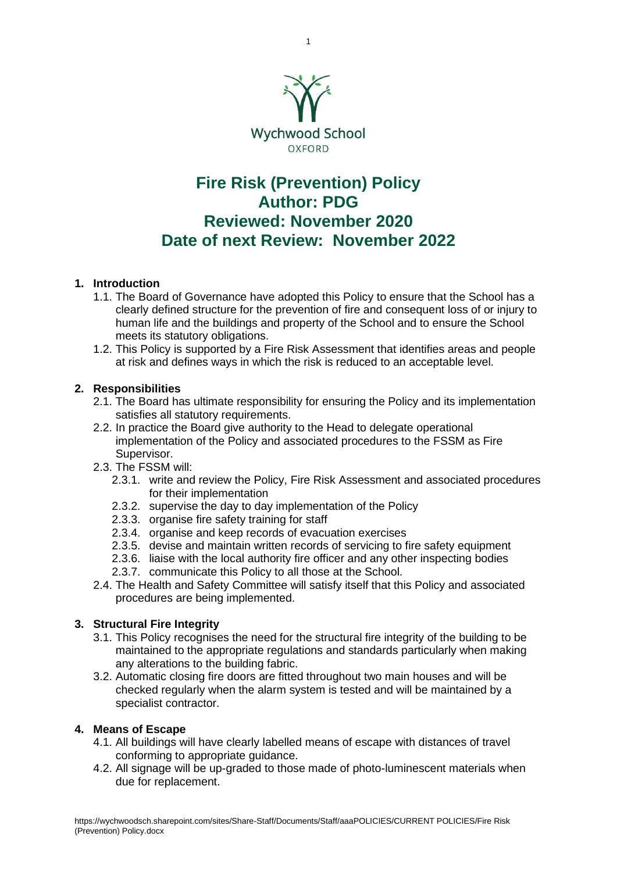

# **Fire Risk (Prevention) Policy Author: PDG Reviewed: November 2020 Date of next Review: November 2022**

# **1. Introduction**

- 1.1. The Board of Governance have adopted this Policy to ensure that the School has a clearly defined structure for the prevention of fire and consequent loss of or injury to human life and the buildings and property of the School and to ensure the School meets its statutory obligations.
- 1.2. This Policy is supported by a Fire Risk Assessment that identifies areas and people at risk and defines ways in which the risk is reduced to an acceptable level.

# **2. Responsibilities**

- 2.1. The Board has ultimate responsibility for ensuring the Policy and its implementation satisfies all statutory requirements.
- 2.2. In practice the Board give authority to the Head to delegate operational implementation of the Policy and associated procedures to the FSSM as Fire Supervisor.
- 2.3. The FSSM will:
	- 2.3.1. write and review the Policy, Fire Risk Assessment and associated procedures for their implementation
	- 2.3.2. supervise the day to day implementation of the Policy
	- 2.3.3. organise fire safety training for staff
	- 2.3.4. organise and keep records of evacuation exercises
	- 2.3.5. devise and maintain written records of servicing to fire safety equipment
	- 2.3.6. liaise with the local authority fire officer and any other inspecting bodies
	- 2.3.7. communicate this Policy to all those at the School.
- 2.4. The Health and Safety Committee will satisfy itself that this Policy and associated procedures are being implemented.

# **3. Structural Fire Integrity**

- 3.1. This Policy recognises the need for the structural fire integrity of the building to be maintained to the appropriate regulations and standards particularly when making any alterations to the building fabric.
- 3.2. Automatic closing fire doors are fitted throughout two main houses and will be checked regularly when the alarm system is tested and will be maintained by a specialist contractor.

### **4. Means of Escape**

- 4.1. All buildings will have clearly labelled means of escape with distances of travel conforming to appropriate guidance.
- 4.2. All signage will be up-graded to those made of photo-luminescent materials when due for replacement.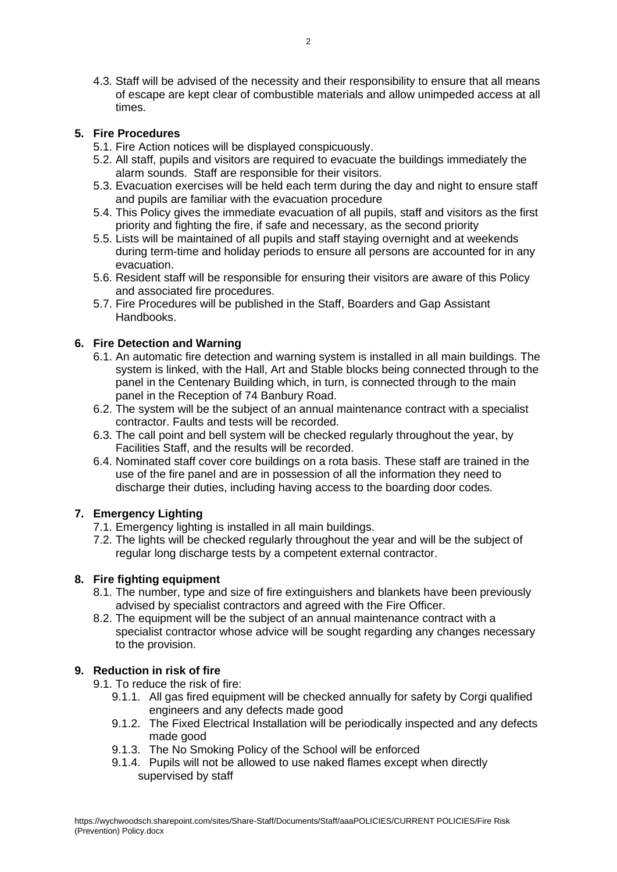4.3. Staff will be advised of the necessity and their responsibility to ensure that all means of escape are kept clear of combustible materials and allow unimpeded access at all times.

# **5. Fire Procedures**

- 5.1. Fire Action notices will be displayed conspicuously.
- 5.2. All staff, pupils and visitors are required to evacuate the buildings immediately the alarm sounds. Staff are responsible for their visitors.
- 5.3. Evacuation exercises will be held each term during the day and night to ensure staff and pupils are familiar with the evacuation procedure
- 5.4. This Policy gives the immediate evacuation of all pupils, staff and visitors as the first priority and fighting the fire, if safe and necessary, as the second priority
- 5.5. Lists will be maintained of all pupils and staff staying overnight and at weekends during term-time and holiday periods to ensure all persons are accounted for in any evacuation.
- 5.6. Resident staff will be responsible for ensuring their visitors are aware of this Policy and associated fire procedures.
- 5.7. Fire Procedures will be published in the Staff, Boarders and Gap Assistant Handbooks.

# **6. Fire Detection and Warning**

- 6.1. An automatic fire detection and warning system is installed in all main buildings. The system is linked, with the Hall, Art and Stable blocks being connected through to the panel in the Centenary Building which, in turn, is connected through to the main panel in the Reception of 74 Banbury Road.
- 6.2. The system will be the subject of an annual maintenance contract with a specialist contractor. Faults and tests will be recorded.
- 6.3. The call point and bell system will be checked regularly throughout the year, by Facilities Staff, and the results will be recorded.
- 6.4. Nominated staff cover core buildings on a rota basis. These staff are trained in the use of the fire panel and are in possession of all the information they need to discharge their duties, including having access to the boarding door codes.

### **7. Emergency Lighting**

- 7.1. Emergency lighting is installed in all main buildings.
- 7.2. The lights will be checked regularly throughout the year and will be the subject of regular long discharge tests by a competent external contractor.

### **8. Fire fighting equipment**

- 8.1. The number, type and size of fire extinguishers and blankets have been previously advised by specialist contractors and agreed with the Fire Officer.
- 8.2. The equipment will be the subject of an annual maintenance contract with a specialist contractor whose advice will be sought regarding any changes necessary to the provision.

### **9. Reduction in risk of fire**

- 9.1. To reduce the risk of fire:
	- 9.1.1. All gas fired equipment will be checked annually for safety by Corgi qualified engineers and any defects made good
	- 9.1.2. The Fixed Electrical Installation will be periodically inspected and any defects made good
	- 9.1.3. The No Smoking Policy of the School will be enforced
	- 9.1.4. Pupils will not be allowed to use naked flames except when directly supervised by staff